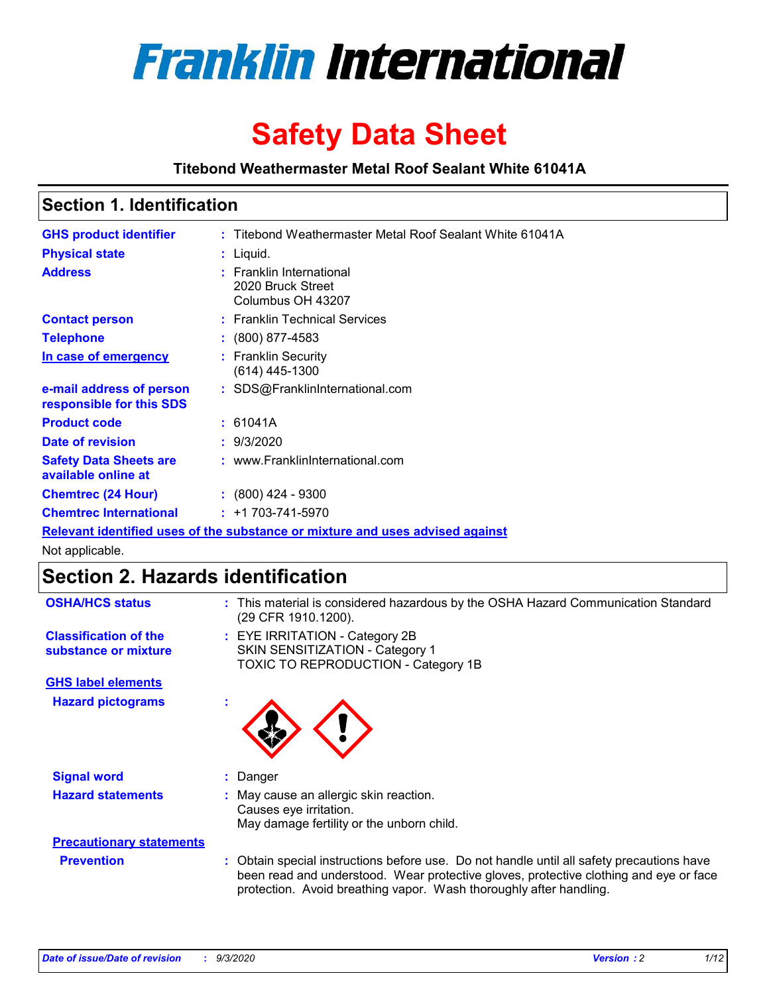

# **Safety Data Sheet**

**Titebond Weathermaster Metal Roof Sealant White 61041A**

## **Section 1. Identification**

| <b>GHS product identifier</b>                                                 |  | : Titebond Weathermaster Metal Roof Sealant White 61041A           |  |
|-------------------------------------------------------------------------------|--|--------------------------------------------------------------------|--|
| <b>Physical state</b>                                                         |  | $:$ Liquid.                                                        |  |
| <b>Address</b>                                                                |  | : Franklin International<br>2020 Bruck Street<br>Columbus OH 43207 |  |
| <b>Contact person</b>                                                         |  | : Franklin Technical Services                                      |  |
| <b>Telephone</b>                                                              |  | $: (800) 877 - 4583$                                               |  |
| In case of emergency                                                          |  | : Franklin Security<br>(614) 445-1300                              |  |
| e-mail address of person<br>responsible for this SDS                          |  | : SDS@FranklinInternational.com                                    |  |
| <b>Product code</b>                                                           |  | : 61041A                                                           |  |
| Date of revision                                                              |  | : 9/3/2020                                                         |  |
| <b>Safety Data Sheets are</b><br>available online at                          |  | : www.FranklinInternational.com                                    |  |
| <b>Chemtrec (24 Hour)</b>                                                     |  | $: (800)$ 424 - 9300                                               |  |
| <b>Chemtrec International</b>                                                 |  | $: +1703 - 741 - 5970$                                             |  |
| Relevant identified uses of the substance or mixture and uses advised against |  |                                                                    |  |

Not applicable.

# **Section 2. Hazards identification**

| <b>OSHA/HCS status</b>                               |    | : This material is considered hazardous by the OSHA Hazard Communication Standard<br>(29 CFR 1910.1200).                                                                                                                                                 |
|------------------------------------------------------|----|----------------------------------------------------------------------------------------------------------------------------------------------------------------------------------------------------------------------------------------------------------|
| <b>Classification of the</b><br>substance or mixture |    | : EYE IRRITATION - Category 2B<br>SKIN SENSITIZATION - Category 1<br>TOXIC TO REPRODUCTION - Category 1B                                                                                                                                                 |
| <b>GHS label elements</b>                            |    |                                                                                                                                                                                                                                                          |
| <b>Hazard pictograms</b>                             | ×. |                                                                                                                                                                                                                                                          |
| <b>Signal word</b>                                   | ÷. | Danger                                                                                                                                                                                                                                                   |
| <b>Hazard statements</b>                             |    | May cause an allergic skin reaction.<br>Causes eye irritation.<br>May damage fertility or the unborn child.                                                                                                                                              |
| <b>Precautionary statements</b>                      |    |                                                                                                                                                                                                                                                          |
| <b>Prevention</b>                                    |    | : Obtain special instructions before use. Do not handle until all safety precautions have<br>been read and understood. Wear protective gloves, protective clothing and eye or face<br>protection. Avoid breathing vapor. Wash thoroughly after handling. |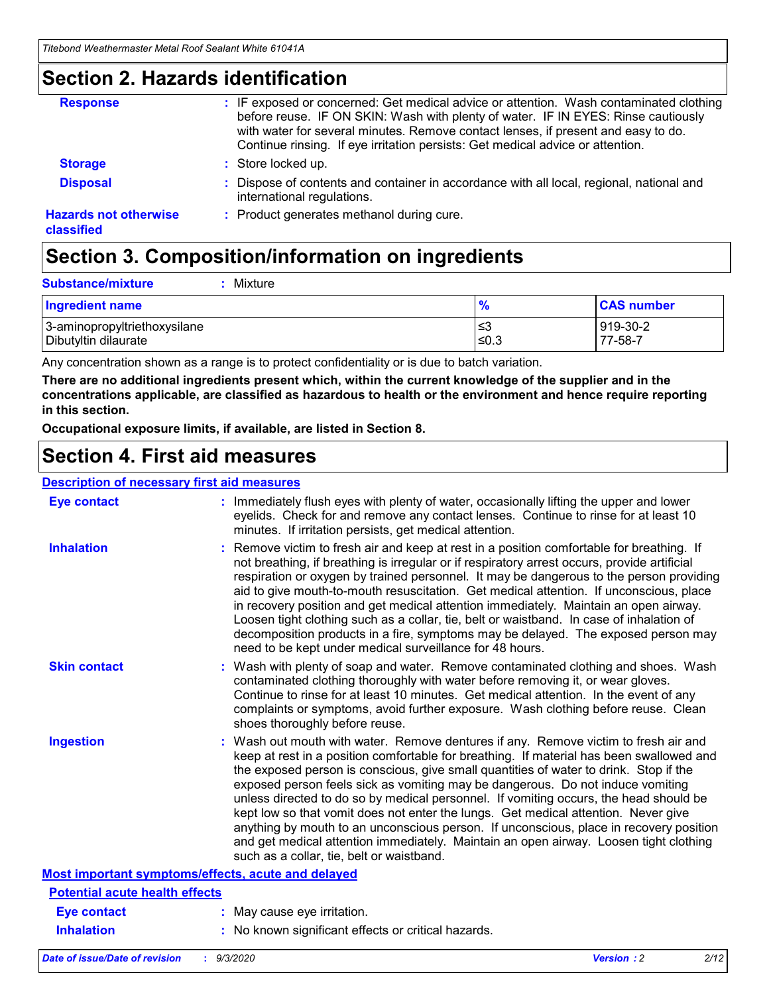## **Section 2. Hazards identification**

| <b>Response</b>                            | : IF exposed or concerned: Get medical advice or attention. Wash contaminated clothing<br>before reuse. IF ON SKIN: Wash with plenty of water. IF IN EYES: Rinse cautiously<br>with water for several minutes. Remove contact lenses, if present and easy to do.<br>Continue rinsing. If eye irritation persists: Get medical advice or attention. |
|--------------------------------------------|----------------------------------------------------------------------------------------------------------------------------------------------------------------------------------------------------------------------------------------------------------------------------------------------------------------------------------------------------|
| <b>Storage</b>                             | : Store locked up.                                                                                                                                                                                                                                                                                                                                 |
| <b>Disposal</b>                            | : Dispose of contents and container in accordance with all local, regional, national and<br>international regulations.                                                                                                                                                                                                                             |
| <b>Hazards not otherwise</b><br>classified | : Product generates methanol during cure.                                                                                                                                                                                                                                                                                                          |

# **Section 3. Composition/information on ingredients**

| <b>Substance/mixture</b> |  | $:$ Mixture |
|--------------------------|--|-------------|
|--------------------------|--|-------------|

| <b>Ingredient name</b>       | $\mathbf{o}$<br>70 | <b>CAS number</b> |
|------------------------------|--------------------|-------------------|
| 3-aminopropyltriethoxysilane | צ≥                 | 919-30-2          |
| Dibutyltin dilaurate         | ∣≤0.3              | 77-58-7           |

Any concentration shown as a range is to protect confidentiality or is due to batch variation.

**There are no additional ingredients present which, within the current knowledge of the supplier and in the concentrations applicable, are classified as hazardous to health or the environment and hence require reporting in this section.**

**Occupational exposure limits, if available, are listed in Section 8.**

## **Section 4. First aid measures**

| <b>Description of necessary first aid measures</b> |                                                                                                                                                                                                                                                                                                                                                                                                                                                                                                                                                                                                                                                                                                                                                                           |
|----------------------------------------------------|---------------------------------------------------------------------------------------------------------------------------------------------------------------------------------------------------------------------------------------------------------------------------------------------------------------------------------------------------------------------------------------------------------------------------------------------------------------------------------------------------------------------------------------------------------------------------------------------------------------------------------------------------------------------------------------------------------------------------------------------------------------------------|
| <b>Eye contact</b>                                 | : Immediately flush eyes with plenty of water, occasionally lifting the upper and lower<br>eyelids. Check for and remove any contact lenses. Continue to rinse for at least 10<br>minutes. If irritation persists, get medical attention.                                                                                                                                                                                                                                                                                                                                                                                                                                                                                                                                 |
| <b>Inhalation</b>                                  | : Remove victim to fresh air and keep at rest in a position comfortable for breathing. If<br>not breathing, if breathing is irregular or if respiratory arrest occurs, provide artificial<br>respiration or oxygen by trained personnel. It may be dangerous to the person providing<br>aid to give mouth-to-mouth resuscitation. Get medical attention. If unconscious, place<br>in recovery position and get medical attention immediately. Maintain an open airway.<br>Loosen tight clothing such as a collar, tie, belt or waistband. In case of inhalation of<br>decomposition products in a fire, symptoms may be delayed. The exposed person may<br>need to be kept under medical surveillance for 48 hours.                                                       |
| <b>Skin contact</b>                                | : Wash with plenty of soap and water. Remove contaminated clothing and shoes. Wash<br>contaminated clothing thoroughly with water before removing it, or wear gloves.<br>Continue to rinse for at least 10 minutes. Get medical attention. In the event of any<br>complaints or symptoms, avoid further exposure. Wash clothing before reuse. Clean<br>shoes thoroughly before reuse.                                                                                                                                                                                                                                                                                                                                                                                     |
| <b>Ingestion</b>                                   | : Wash out mouth with water. Remove dentures if any. Remove victim to fresh air and<br>keep at rest in a position comfortable for breathing. If material has been swallowed and<br>the exposed person is conscious, give small quantities of water to drink. Stop if the<br>exposed person feels sick as vomiting may be dangerous. Do not induce vomiting<br>unless directed to do so by medical personnel. If vomiting occurs, the head should be<br>kept low so that vomit does not enter the lungs. Get medical attention. Never give<br>anything by mouth to an unconscious person. If unconscious, place in recovery position<br>and get medical attention immediately. Maintain an open airway. Loosen tight clothing<br>such as a collar, tie, belt or waistband. |
| Most important symptoms/effects, acute and delayed |                                                                                                                                                                                                                                                                                                                                                                                                                                                                                                                                                                                                                                                                                                                                                                           |
| <b>Potential acute health effects</b>              |                                                                                                                                                                                                                                                                                                                                                                                                                                                                                                                                                                                                                                                                                                                                                                           |
| <b>Eye contact</b>                                 | : May cause eye irritation.                                                                                                                                                                                                                                                                                                                                                                                                                                                                                                                                                                                                                                                                                                                                               |
| <b>Inhalation</b>                                  | : No known significant effects or critical hazards.                                                                                                                                                                                                                                                                                                                                                                                                                                                                                                                                                                                                                                                                                                                       |
|                                                    |                                                                                                                                                                                                                                                                                                                                                                                                                                                                                                                                                                                                                                                                                                                                                                           |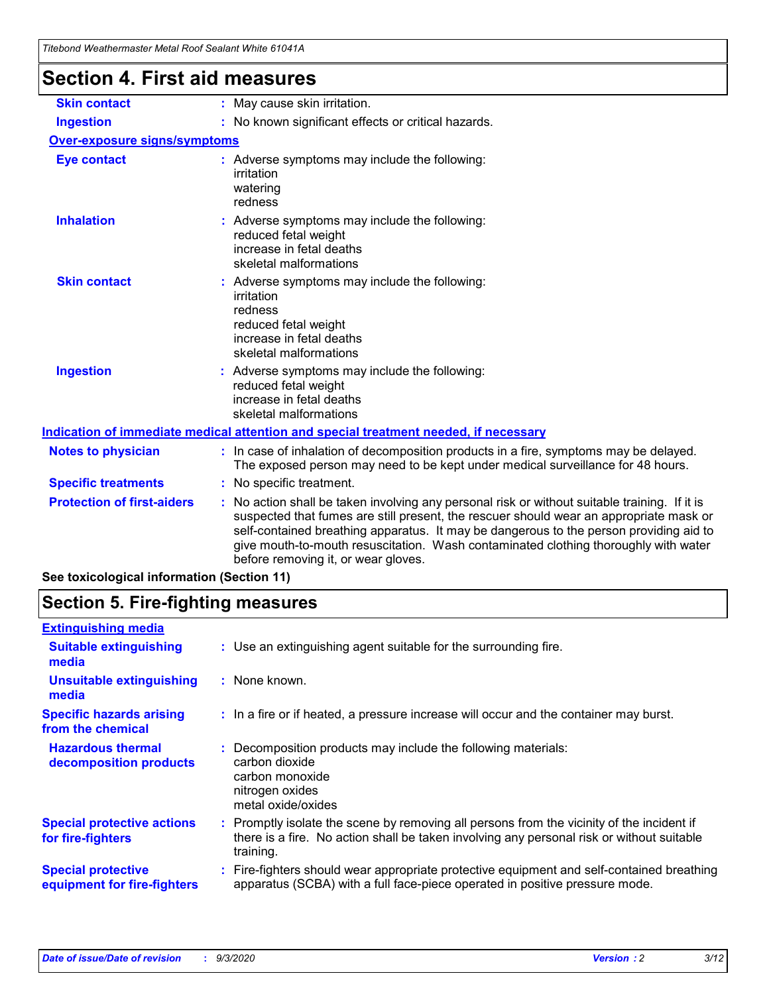| i ilebohu wealilehiilasiel welai Rool Sealahi willie 01041A |                                                                                                                                                                                                                                                                                                                                                                                                                 |
|-------------------------------------------------------------|-----------------------------------------------------------------------------------------------------------------------------------------------------------------------------------------------------------------------------------------------------------------------------------------------------------------------------------------------------------------------------------------------------------------|
| <b>Section 4. First aid measures</b>                        |                                                                                                                                                                                                                                                                                                                                                                                                                 |
| <b>Skin contact</b>                                         | : May cause skin irritation.                                                                                                                                                                                                                                                                                                                                                                                    |
| <b>Ingestion</b>                                            | : No known significant effects or critical hazards.                                                                                                                                                                                                                                                                                                                                                             |
| Over-exposure signs/symptoms                                |                                                                                                                                                                                                                                                                                                                                                                                                                 |
| <b>Eye contact</b>                                          | : Adverse symptoms may include the following:<br>irritation<br>watering<br>redness                                                                                                                                                                                                                                                                                                                              |
| <b>Inhalation</b>                                           | : Adverse symptoms may include the following:<br>reduced fetal weight<br>increase in fetal deaths<br>skeletal malformations                                                                                                                                                                                                                                                                                     |
| <b>Skin contact</b>                                         | : Adverse symptoms may include the following:<br>irritation<br>redness<br>reduced fetal weight<br>increase in fetal deaths<br>skeletal malformations                                                                                                                                                                                                                                                            |
| <b>Ingestion</b>                                            | : Adverse symptoms may include the following:<br>reduced fetal weight<br>increase in fetal deaths<br>skeletal malformations                                                                                                                                                                                                                                                                                     |
|                                                             | Indication of immediate medical attention and special treatment needed, if necessary                                                                                                                                                                                                                                                                                                                            |
| <b>Notes to physician</b>                                   | : In case of inhalation of decomposition products in a fire, symptoms may be delayed.<br>The exposed person may need to be kept under medical surveillance for 48 hours.                                                                                                                                                                                                                                        |
| <b>Specific treatments</b>                                  | : No specific treatment.                                                                                                                                                                                                                                                                                                                                                                                        |
| <b>Protection of first-aiders</b>                           | : No action shall be taken involving any personal risk or without suitable training. If it is<br>suspected that fumes are still present, the rescuer should wear an appropriate mask or<br>self-contained breathing apparatus. It may be dangerous to the person providing aid to<br>give mouth-to-mouth resuscitation. Wash contaminated clothing thoroughly with water<br>before removing it, or wear gloves. |
| See toxicological information (Section 11)                  |                                                                                                                                                                                                                                                                                                                                                                                                                 |

# **Section 5. Fire-fighting measures**

| : Use an extinguishing agent suitable for the surrounding fire.                                                                                                                                   |
|---------------------------------------------------------------------------------------------------------------------------------------------------------------------------------------------------|
| : None known.                                                                                                                                                                                     |
| : In a fire or if heated, a pressure increase will occur and the container may burst.                                                                                                             |
| Decomposition products may include the following materials:<br>carbon dioxide<br>carbon monoxide<br>nitrogen oxides<br>metal oxide/oxides                                                         |
| Promptly isolate the scene by removing all persons from the vicinity of the incident if<br>there is a fire. No action shall be taken involving any personal risk or without suitable<br>training. |
| : Fire-fighters should wear appropriate protective equipment and self-contained breathing<br>apparatus (SCBA) with a full face-piece operated in positive pressure mode.                          |
|                                                                                                                                                                                                   |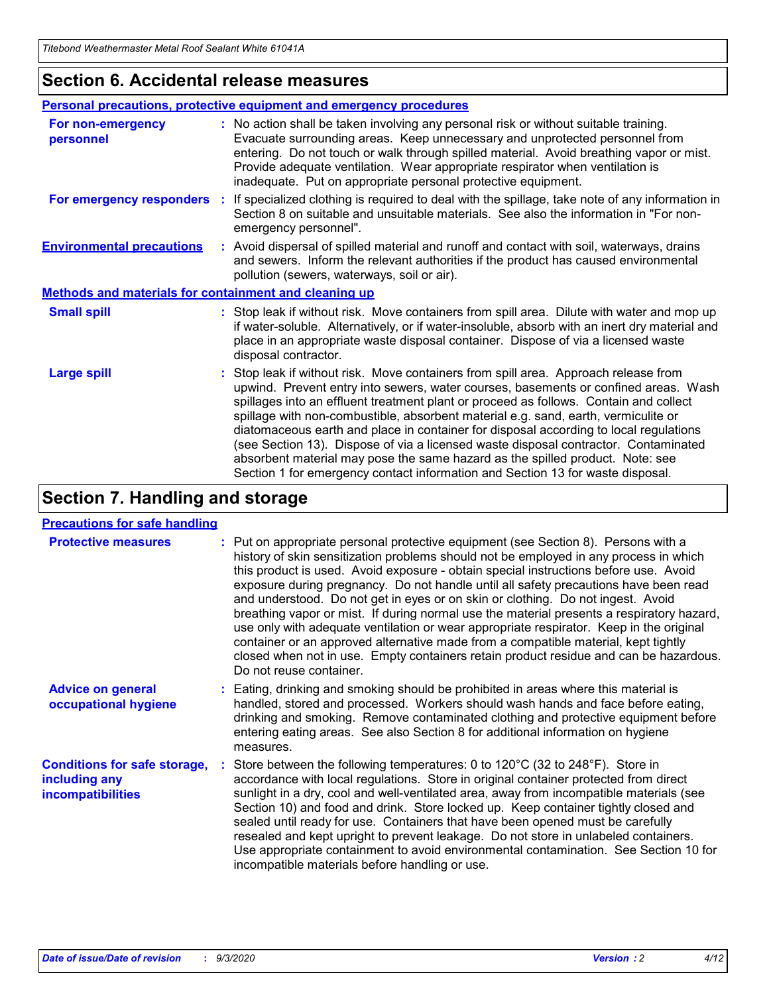### **Section 6. Accidental release measures**

|                                                              | <b>Personal precautions, protective equipment and emergency procedures</b>                                                                                                                                                                                                                                                                                                                                                                                                                                                                                                                                                                                                                                   |  |  |  |
|--------------------------------------------------------------|--------------------------------------------------------------------------------------------------------------------------------------------------------------------------------------------------------------------------------------------------------------------------------------------------------------------------------------------------------------------------------------------------------------------------------------------------------------------------------------------------------------------------------------------------------------------------------------------------------------------------------------------------------------------------------------------------------------|--|--|--|
| For non-emergency<br>personnel                               | : No action shall be taken involving any personal risk or without suitable training.<br>Evacuate surrounding areas. Keep unnecessary and unprotected personnel from<br>entering. Do not touch or walk through spilled material. Avoid breathing vapor or mist.<br>Provide adequate ventilation. Wear appropriate respirator when ventilation is<br>inadequate. Put on appropriate personal protective equipment.                                                                                                                                                                                                                                                                                             |  |  |  |
| For emergency responders                                     | : If specialized clothing is required to deal with the spillage, take note of any information in<br>Section 8 on suitable and unsuitable materials. See also the information in "For non-<br>emergency personnel".                                                                                                                                                                                                                                                                                                                                                                                                                                                                                           |  |  |  |
| <b>Environmental precautions</b>                             | : Avoid dispersal of spilled material and runoff and contact with soil, waterways, drains<br>and sewers. Inform the relevant authorities if the product has caused environmental<br>pollution (sewers, waterways, soil or air).                                                                                                                                                                                                                                                                                                                                                                                                                                                                              |  |  |  |
| <b>Methods and materials for containment and cleaning up</b> |                                                                                                                                                                                                                                                                                                                                                                                                                                                                                                                                                                                                                                                                                                              |  |  |  |
| <b>Small spill</b>                                           | : Stop leak if without risk. Move containers from spill area. Dilute with water and mop up<br>if water-soluble. Alternatively, or if water-insoluble, absorb with an inert dry material and<br>place in an appropriate waste disposal container. Dispose of via a licensed waste<br>disposal contractor.                                                                                                                                                                                                                                                                                                                                                                                                     |  |  |  |
| <b>Large spill</b>                                           | : Stop leak if without risk. Move containers from spill area. Approach release from<br>upwind. Prevent entry into sewers, water courses, basements or confined areas. Wash<br>spillages into an effluent treatment plant or proceed as follows. Contain and collect<br>spillage with non-combustible, absorbent material e.g. sand, earth, vermiculite or<br>diatomaceous earth and place in container for disposal according to local regulations<br>(see Section 13). Dispose of via a licensed waste disposal contractor. Contaminated<br>absorbent material may pose the same hazard as the spilled product. Note: see<br>Section 1 for emergency contact information and Section 13 for waste disposal. |  |  |  |

# **Section 7. Handling and storage**

### **Precautions for safe handling**

| <b>Protective measures</b>                                                       | : Put on appropriate personal protective equipment (see Section 8). Persons with a<br>history of skin sensitization problems should not be employed in any process in which<br>this product is used. Avoid exposure - obtain special instructions before use. Avoid<br>exposure during pregnancy. Do not handle until all safety precautions have been read<br>and understood. Do not get in eyes or on skin or clothing. Do not ingest. Avoid<br>breathing vapor or mist. If during normal use the material presents a respiratory hazard,<br>use only with adequate ventilation or wear appropriate respirator. Keep in the original<br>container or an approved alternative made from a compatible material, kept tightly<br>closed when not in use. Empty containers retain product residue and can be hazardous.<br>Do not reuse container. |
|----------------------------------------------------------------------------------|--------------------------------------------------------------------------------------------------------------------------------------------------------------------------------------------------------------------------------------------------------------------------------------------------------------------------------------------------------------------------------------------------------------------------------------------------------------------------------------------------------------------------------------------------------------------------------------------------------------------------------------------------------------------------------------------------------------------------------------------------------------------------------------------------------------------------------------------------|
| <b>Advice on general</b><br>occupational hygiene                                 | : Eating, drinking and smoking should be prohibited in areas where this material is<br>handled, stored and processed. Workers should wash hands and face before eating,<br>drinking and smoking. Remove contaminated clothing and protective equipment before<br>entering eating areas. See also Section 8 for additional information on hygiene<br>measures.                                                                                                                                                                                                                                                                                                                                                                                                                                                                                    |
| <b>Conditions for safe storage,</b><br>including any<br><i>incompatibilities</i> | Store between the following temperatures: 0 to 120°C (32 to 248°F). Store in<br>accordance with local regulations. Store in original container protected from direct<br>sunlight in a dry, cool and well-ventilated area, away from incompatible materials (see<br>Section 10) and food and drink. Store locked up. Keep container tightly closed and<br>sealed until ready for use. Containers that have been opened must be carefully<br>resealed and kept upright to prevent leakage. Do not store in unlabeled containers.<br>Use appropriate containment to avoid environmental contamination. See Section 10 for<br>incompatible materials before handling or use.                                                                                                                                                                         |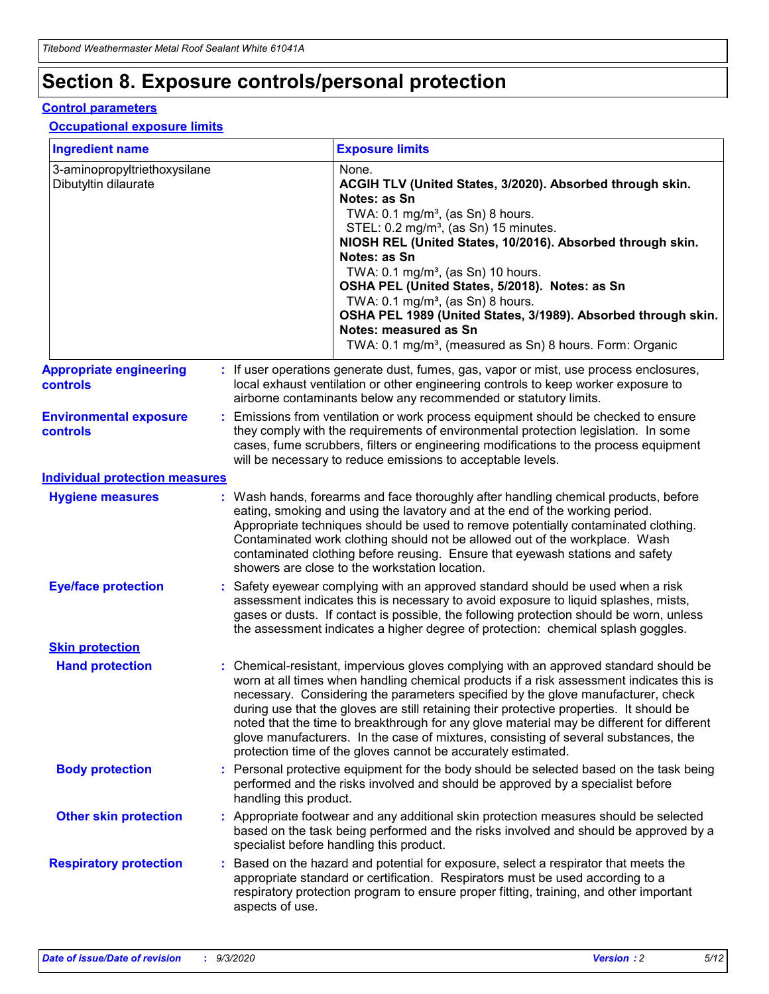# **Section 8. Exposure controls/personal protection**

### **Control parameters**

### **Occupational exposure limits**

| <b>Ingredient name</b>                               |    |                        | <b>Exposure limits</b>                                                                                                                                                                                                                                                                                                                                                                                                                                                                                                                                                                                                 |
|------------------------------------------------------|----|------------------------|------------------------------------------------------------------------------------------------------------------------------------------------------------------------------------------------------------------------------------------------------------------------------------------------------------------------------------------------------------------------------------------------------------------------------------------------------------------------------------------------------------------------------------------------------------------------------------------------------------------------|
| 3-aminopropyltriethoxysilane<br>Dibutyltin dilaurate |    |                        | None.<br>ACGIH TLV (United States, 3/2020). Absorbed through skin.<br>Notes: as Sn<br>TWA: $0.1 \text{ mg/m}^3$ , (as Sn) 8 hours.<br>STEL: 0.2 mg/m <sup>3</sup> , (as Sn) 15 minutes.<br>NIOSH REL (United States, 10/2016). Absorbed through skin.<br>Notes: as Sn<br>TWA: 0.1 mg/m <sup>3</sup> , (as Sn) 10 hours.<br>OSHA PEL (United States, 5/2018). Notes: as Sn<br>TWA: 0.1 mg/m <sup>3</sup> , (as Sn) 8 hours.<br>OSHA PEL 1989 (United States, 3/1989). Absorbed through skin.<br>Notes: measured as Sn<br>TWA: 0.1 mg/m <sup>3</sup> , (measured as Sn) 8 hours. Form: Organic                           |
| <b>Appropriate engineering</b><br>controls           |    |                        | : If user operations generate dust, fumes, gas, vapor or mist, use process enclosures,<br>local exhaust ventilation or other engineering controls to keep worker exposure to<br>airborne contaminants below any recommended or statutory limits.                                                                                                                                                                                                                                                                                                                                                                       |
| <b>Environmental exposure</b><br>controls            |    |                        | Emissions from ventilation or work process equipment should be checked to ensure<br>they comply with the requirements of environmental protection legislation. In some<br>cases, fume scrubbers, filters or engineering modifications to the process equipment<br>will be necessary to reduce emissions to acceptable levels.                                                                                                                                                                                                                                                                                          |
| <b>Individual protection measures</b>                |    |                        |                                                                                                                                                                                                                                                                                                                                                                                                                                                                                                                                                                                                                        |
| <b>Hygiene measures</b>                              |    |                        | : Wash hands, forearms and face thoroughly after handling chemical products, before<br>eating, smoking and using the lavatory and at the end of the working period.<br>Appropriate techniques should be used to remove potentially contaminated clothing.<br>Contaminated work clothing should not be allowed out of the workplace. Wash<br>contaminated clothing before reusing. Ensure that eyewash stations and safety<br>showers are close to the workstation location.                                                                                                                                            |
| <b>Eye/face protection</b>                           |    |                        | Safety eyewear complying with an approved standard should be used when a risk<br>assessment indicates this is necessary to avoid exposure to liquid splashes, mists,<br>gases or dusts. If contact is possible, the following protection should be worn, unless<br>the assessment indicates a higher degree of protection: chemical splash goggles.                                                                                                                                                                                                                                                                    |
| <b>Skin protection</b>                               |    |                        |                                                                                                                                                                                                                                                                                                                                                                                                                                                                                                                                                                                                                        |
| <b>Hand protection</b>                               |    |                        | : Chemical-resistant, impervious gloves complying with an approved standard should be<br>worn at all times when handling chemical products if a risk assessment indicates this is<br>necessary. Considering the parameters specified by the glove manufacturer, check<br>during use that the gloves are still retaining their protective properties. It should be<br>noted that the time to breakthrough for any glove material may be different for different<br>glove manufacturers. In the case of mixtures, consisting of several substances, the<br>protection time of the gloves cannot be accurately estimated. |
| <b>Body protection</b>                               |    | handling this product. | Personal protective equipment for the body should be selected based on the task being<br>performed and the risks involved and should be approved by a specialist before                                                                                                                                                                                                                                                                                                                                                                                                                                                |
| <b>Other skin protection</b>                         |    |                        | : Appropriate footwear and any additional skin protection measures should be selected<br>based on the task being performed and the risks involved and should be approved by a<br>specialist before handling this product.                                                                                                                                                                                                                                                                                                                                                                                              |
| <b>Respiratory protection</b>                        | ÷. | aspects of use.        | Based on the hazard and potential for exposure, select a respirator that meets the<br>appropriate standard or certification. Respirators must be used according to a<br>respiratory protection program to ensure proper fitting, training, and other important                                                                                                                                                                                                                                                                                                                                                         |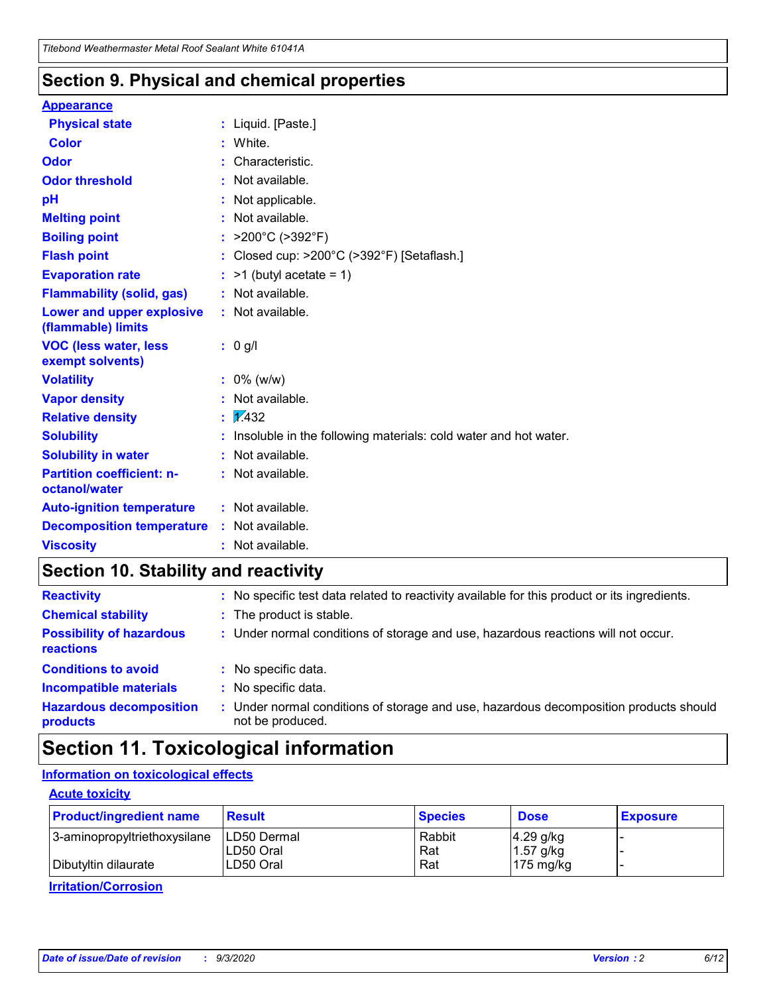### **Section 9. Physical and chemical properties**

### **Appearance**

| <b>Physical state</b>                             | : Liquid. [Paste.]                                              |
|---------------------------------------------------|-----------------------------------------------------------------|
| Color                                             | White.                                                          |
| Odor                                              | Characteristic.                                                 |
| <b>Odor threshold</b>                             | : Not available.                                                |
| pH                                                | Not applicable.                                                 |
| <b>Melting point</b>                              | : Not available.                                                |
| <b>Boiling point</b>                              | : $>200^{\circ}$ C ( $>392^{\circ}$ F)                          |
| <b>Flash point</b>                                | : Closed cup: >200°C (>392°F) [Setaflash.]                      |
| <b>Evaporation rate</b>                           | $:$ >1 (butyl acetate = 1)                                      |
| <b>Flammability (solid, gas)</b>                  | : Not available.                                                |
| Lower and upper explosive<br>(flammable) limits   | : Not available.                                                |
| <b>VOC (less water, less</b><br>exempt solvents)  | : 0 g/l                                                         |
| <b>Volatility</b>                                 | $: 0\%$ (w/w)                                                   |
| <b>Vapor density</b>                              | : Not available.                                                |
| <b>Relative density</b>                           | $\mathbf{1} \times 432$                                         |
| <b>Solubility</b>                                 | Insoluble in the following materials: cold water and hot water. |
| <b>Solubility in water</b>                        | $:$ Not available.                                              |
| <b>Partition coefficient: n-</b><br>octanol/water | : Not available.                                                |
| <b>Auto-ignition temperature</b>                  | : Not available.                                                |
| <b>Decomposition temperature</b>                  | $:$ Not available.                                              |
|                                                   |                                                                 |

# **Section 10. Stability and reactivity**

| <b>Reactivity</b>                            | : No specific test data related to reactivity available for this product or its ingredients.            |
|----------------------------------------------|---------------------------------------------------------------------------------------------------------|
| <b>Chemical stability</b>                    | : The product is stable.                                                                                |
| <b>Possibility of hazardous</b><br>reactions | : Under normal conditions of storage and use, hazardous reactions will not occur.                       |
| <b>Conditions to avoid</b>                   | : No specific data.                                                                                     |
| <b>Incompatible materials</b>                | : No specific data.                                                                                     |
| <b>Hazardous decomposition</b><br>products   | Under normal conditions of storage and use, hazardous decomposition products should<br>not be produced. |

# **Section 11. Toxicological information**

### **Information on toxicological effects**

### **Acute toxicity**

| <b>Product/ingredient name</b> | <b>Result</b>           | <b>Species</b> | <b>Dose</b>                | <b>Exposure</b> |
|--------------------------------|-------------------------|----------------|----------------------------|-----------------|
| 3-aminopropyltriethoxysilane   | <b>ILD50 Dermal</b>     | Rabbit         | 4.29 g/kg                  |                 |
| Dibutyltin dilaurate           | ILD50 Oral<br>LD50 Oral | Rat<br>Rat     | $1.57$ g/kg<br>175 $mg/kg$ |                 |
|                                |                         |                |                            |                 |

**Irritation/Corrosion**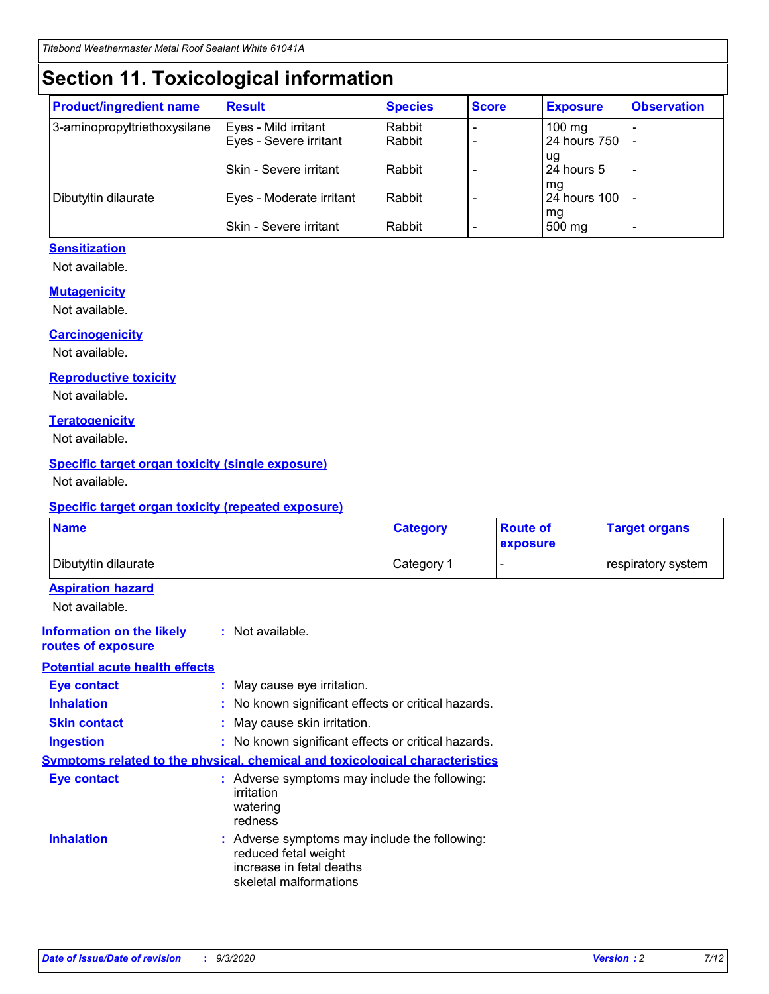# **Section 11. Toxicological information**

| <b>Product/ingredient name</b> | <b>Result</b>            | <b>Species</b> | <b>Score</b> | <b>Exposure</b>    | <b>Observation</b> |
|--------------------------------|--------------------------|----------------|--------------|--------------------|--------------------|
| 3-aminopropyltriethoxysilane   | Eyes - Mild irritant     | Rabbit         |              | $100$ mg           |                    |
|                                | Eyes - Severe irritant   | Rabbit         |              | 24 hours 750       |                    |
|                                |                          |                |              | ug                 |                    |
|                                | Skin - Severe irritant   | Rabbit         |              | 24 hours 5         | -                  |
| Dibutyltin dilaurate           | Eyes - Moderate irritant | Rabbit         |              | mg<br>24 hours 100 |                    |
|                                |                          |                |              | mg                 |                    |
|                                | Skin - Severe irritant   | Rabbit         |              | 500 mg             | -                  |

### **Sensitization**

Not available.

### **Mutagenicity**

Not available.

### **Carcinogenicity**

Not available.

### **Reproductive toxicity**

Not available.

### **Teratogenicity**

Not available.

### **Specific target organ toxicity (single exposure)**

Not available.

### **Specific target organ toxicity (repeated exposure)**

| <b>Name</b>                                                                         |                                                                            | <b>Category</b>                                     | <b>Route of</b><br>exposure | <b>Target organs</b> |  |  |
|-------------------------------------------------------------------------------------|----------------------------------------------------------------------------|-----------------------------------------------------|-----------------------------|----------------------|--|--|
| Dibutyltin dilaurate                                                                |                                                                            | Category 1                                          |                             | respiratory system   |  |  |
| <b>Aspiration hazard</b><br>Not available.                                          |                                                                            |                                                     |                             |                      |  |  |
| <b>Information on the likely</b><br>routes of exposure                              | : Not available.                                                           |                                                     |                             |                      |  |  |
| <b>Potential acute health effects</b>                                               |                                                                            |                                                     |                             |                      |  |  |
| <b>Eye contact</b>                                                                  | : May cause eye irritation.                                                |                                                     |                             |                      |  |  |
| <b>Inhalation</b>                                                                   |                                                                            | : No known significant effects or critical hazards. |                             |                      |  |  |
| <b>Skin contact</b>                                                                 |                                                                            | : May cause skin irritation.                        |                             |                      |  |  |
| <b>Ingestion</b>                                                                    |                                                                            | : No known significant effects or critical hazards. |                             |                      |  |  |
| <b>Symptoms related to the physical, chemical and toxicological characteristics</b> |                                                                            |                                                     |                             |                      |  |  |
| <b>Eye contact</b>                                                                  | irritation<br>watering<br>redness                                          | : Adverse symptoms may include the following:       |                             |                      |  |  |
| <b>Inhalation</b>                                                                   | reduced fetal weight<br>increase in fetal deaths<br>skeletal malformations | : Adverse symptoms may include the following:       |                             |                      |  |  |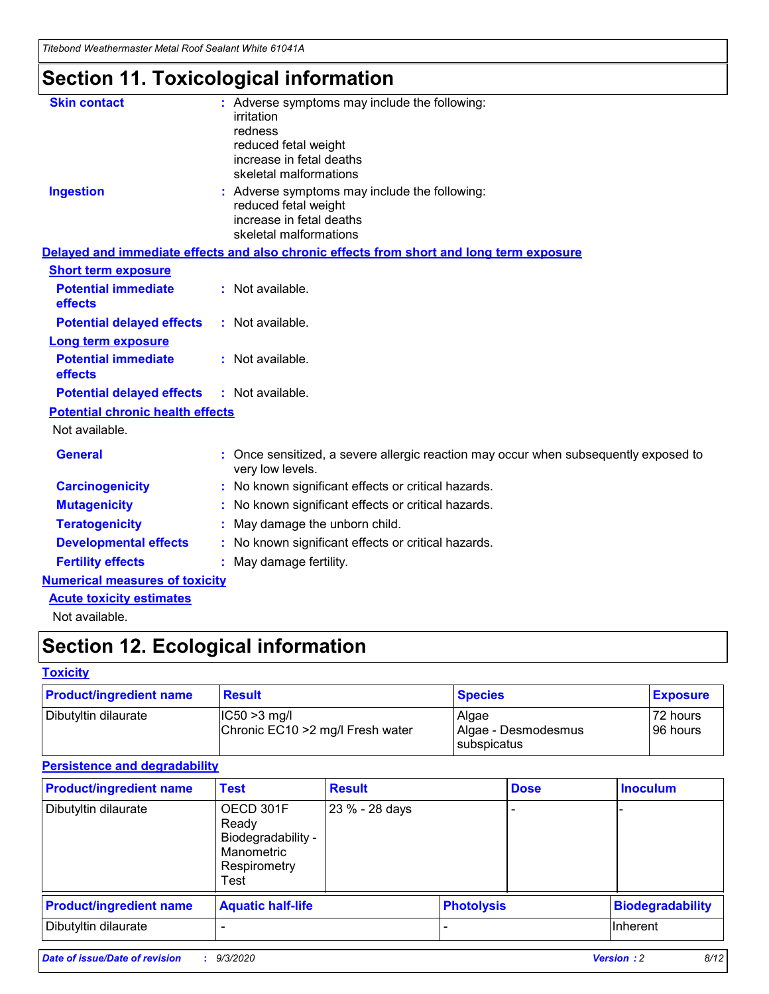*Titebond Weathermaster Metal Roof Sealant White 61041A*

# **Section 11. Toxicological information**

| <b>Skin contact</b>                          | : Adverse symptoms may include the following:<br>irritation                                            |
|----------------------------------------------|--------------------------------------------------------------------------------------------------------|
|                                              | redness                                                                                                |
|                                              | reduced fetal weight                                                                                   |
|                                              | increase in fetal deaths                                                                               |
|                                              | skeletal malformations                                                                                 |
| <b>Ingestion</b>                             | : Adverse symptoms may include the following:<br>reduced fetal weight                                  |
|                                              | increase in fetal deaths                                                                               |
|                                              | skeletal malformations                                                                                 |
|                                              | Delayed and immediate effects and also chronic effects from short and long term exposure               |
| <b>Short term exposure</b>                   |                                                                                                        |
| <b>Potential immediate</b><br>effects        | : Not available.                                                                                       |
| <b>Potential delayed effects</b>             | : Not available.                                                                                       |
| <b>Long term exposure</b>                    |                                                                                                        |
| <b>Potential immediate</b><br><b>effects</b> | : Not available.                                                                                       |
| <b>Potential delayed effects</b>             | : Not available.                                                                                       |
| <b>Potential chronic health effects</b>      |                                                                                                        |
| Not available.                               |                                                                                                        |
| <b>General</b>                               | Once sensitized, a severe allergic reaction may occur when subsequently exposed to<br>very low levels. |
| <b>Carcinogenicity</b>                       | No known significant effects or critical hazards.                                                      |
| <b>Mutagenicity</b>                          | : No known significant effects or critical hazards.                                                    |
| <b>Teratogenicity</b>                        | May damage the unborn child.                                                                           |
| <b>Developmental effects</b>                 | : No known significant effects or critical hazards.                                                    |
| <b>Fertility effects</b>                     | : May damage fertility.                                                                                |
| <b>Numerical measures of toxicity</b>        |                                                                                                        |
| <b>Acute toxicity estimates</b>              |                                                                                                        |
| Not ovoilable                                |                                                                                                        |

Not available.

# **Section 12. Ecological information**

### **Toxicity**

| <b>Product/ingredient name</b> | <b>Result</b>                                       | <b>Species</b>               | <b>Exposure</b>       |
|--------------------------------|-----------------------------------------------------|------------------------------|-----------------------|
| Dibutyltin dilaurate           | $ CC50>3$ mg/l<br>Chronic EC10 > 2 mg/l Fresh water | Algae<br>Algae - Desmodesmus | 72 hours<br>196 hours |
|                                |                                                     | <b>I</b> subspicatus         |                       |

### **Persistence and degradability**

| <b>Product/ingredient name</b> | <b>Test</b>                                                                    | <b>Result</b>  |                   | <b>Dose</b> | <b>Inoculum</b>         |
|--------------------------------|--------------------------------------------------------------------------------|----------------|-------------------|-------------|-------------------------|
| Dibutyltin dilaurate           | OECD 301F<br>Ready<br>Biodegradability -<br>Manometric<br>Respirometry<br>Test | 23 % - 28 days |                   |             |                         |
| <b>Product/ingredient name</b> | <b>Aquatic half-life</b>                                                       |                | <b>Photolysis</b> |             | <b>Biodegradability</b> |
| Dibutyltin dilaurate           |                                                                                |                |                   |             | <b>Inherent</b>         |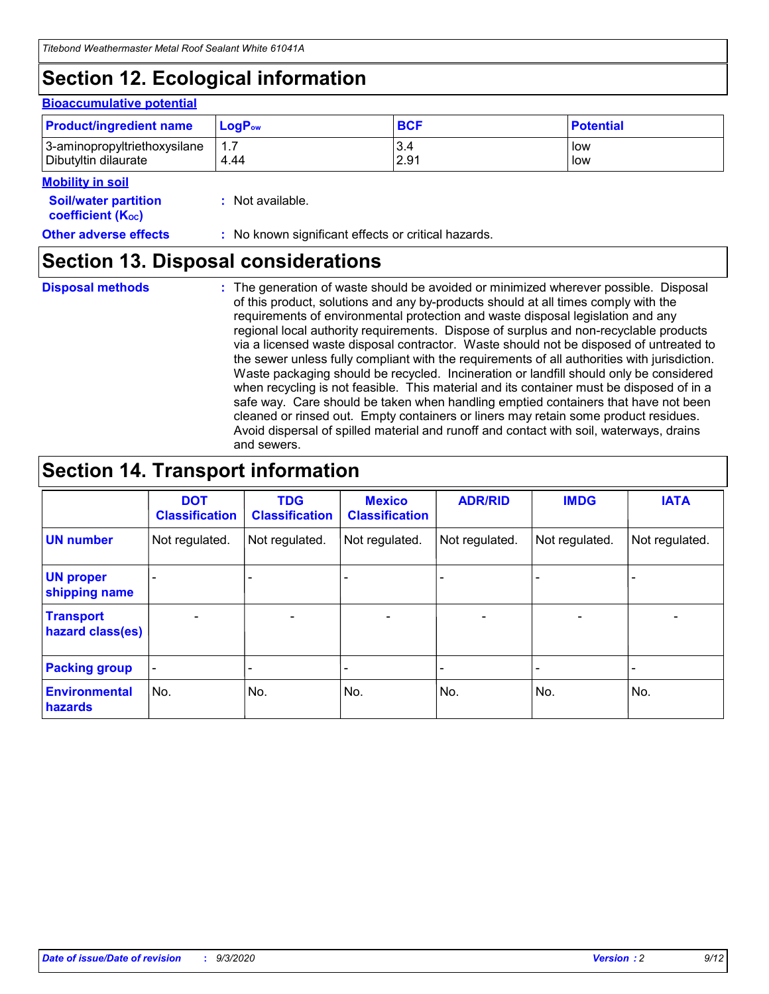# **Section 12. Ecological information**

### **Bioaccumulative potential**

| <b>Product/ingredient name</b> | $LogPow$ | <b>BCF</b> | <b>Potential</b> |
|--------------------------------|----------|------------|------------------|
| 3-aminopropyltriethoxysilane   | 1.7      | 3.4        | low              |
| Dibutyltin dilaurate           | 4.44     | 2.91       | low              |

### **Mobility in soil**

| <b>MODINTY IN SON</b>                                         |                                                     |
|---------------------------------------------------------------|-----------------------------------------------------|
| <b>Soil/water partition</b><br>coefficient (K <sub>oc</sub> ) | : Not available.                                    |
| <b>Other adverse effects</b>                                  | : No known significant effects or critical hazards. |

# **Section 13. Disposal considerations**

**Disposal methods :**

The generation of waste should be avoided or minimized wherever possible. Disposal of this product, solutions and any by-products should at all times comply with the requirements of environmental protection and waste disposal legislation and any regional local authority requirements. Dispose of surplus and non-recyclable products via a licensed waste disposal contractor. Waste should not be disposed of untreated to the sewer unless fully compliant with the requirements of all authorities with jurisdiction. Waste packaging should be recycled. Incineration or landfill should only be considered when recycling is not feasible. This material and its container must be disposed of in a safe way. Care should be taken when handling emptied containers that have not been cleaned or rinsed out. Empty containers or liners may retain some product residues. Avoid dispersal of spilled material and runoff and contact with soil, waterways, drains and sewers.

# **Section 14. Transport information**

|                                      | <b>DOT</b><br><b>Classification</b> | <b>TDG</b><br><b>Classification</b> | <b>Mexico</b><br><b>Classification</b> | <b>ADR/RID</b>           | <b>IMDG</b>              | <b>IATA</b>    |
|--------------------------------------|-------------------------------------|-------------------------------------|----------------------------------------|--------------------------|--------------------------|----------------|
| <b>UN number</b>                     | Not regulated.                      | Not regulated.                      | Not regulated.                         | Not regulated.           | Not regulated.           | Not regulated. |
| <b>UN proper</b><br>shipping name    |                                     |                                     |                                        |                          |                          |                |
| <b>Transport</b><br>hazard class(es) |                                     | $\overline{\phantom{0}}$            | $\qquad \qquad \blacksquare$           | $\overline{\phantom{0}}$ | $\overline{\phantom{0}}$ |                |
| <b>Packing group</b>                 |                                     |                                     |                                        |                          |                          |                |
| <b>Environmental</b><br>hazards      | No.                                 | No.                                 | No.                                    | No.                      | No.                      | No.            |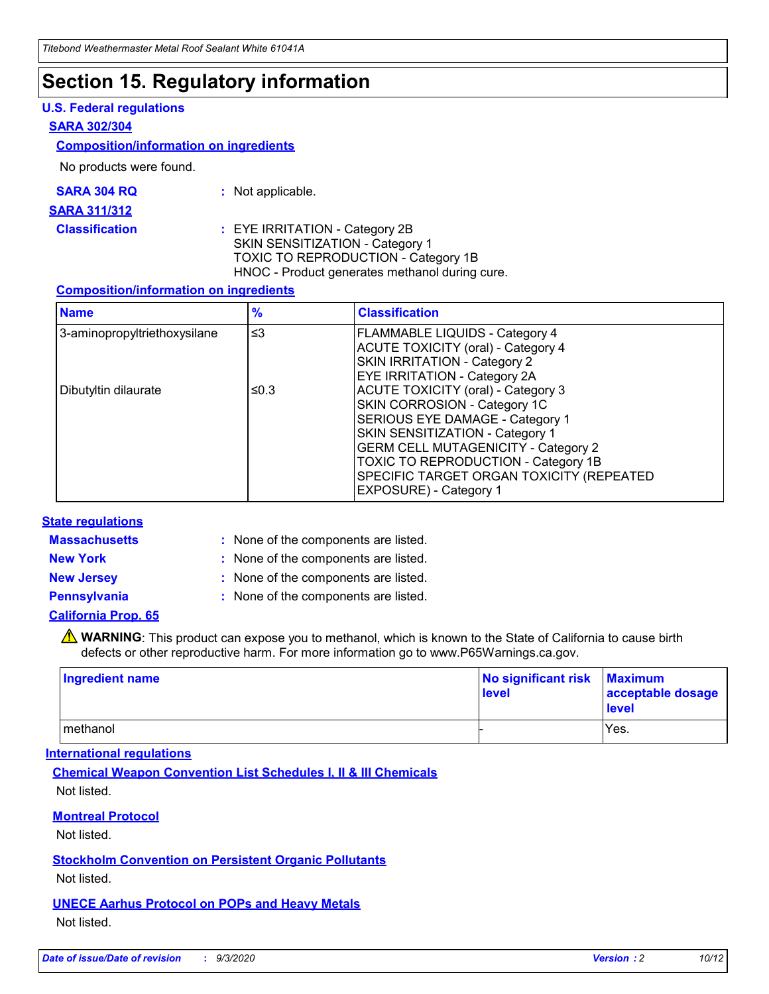# **Section 15. Regulatory information**

### **U.S. Federal regulations**

### **SARA 302/304**

### **Composition/information on ingredients**

No products were found.

| SARA 304 RQ | Not applicable. |
|-------------|-----------------|
|-------------|-----------------|

#### **SARA 311/312**

**Classification :** EYE IRRITATION - Category 2B SKIN SENSITIZATION - Category 1 TOXIC TO REPRODUCTION - Category 1B HNOC - Product generates methanol during cure.

### **Composition/information on ingredients**

| <b>Name</b>                  | $\frac{9}{6}$ | <b>Classification</b>                                                                                                                                                                                                                                                                                      |
|------------------------------|---------------|------------------------------------------------------------------------------------------------------------------------------------------------------------------------------------------------------------------------------------------------------------------------------------------------------------|
| 3-aminopropyltriethoxysilane | $\leq$ 3      | <b>FLAMMABLE LIQUIDS - Category 4</b><br><b>ACUTE TOXICITY (oral) - Category 4</b><br><b>SKIN IRRITATION - Category 2</b><br>EYE IRRITATION - Category 2A                                                                                                                                                  |
| Dibutyltin dilaurate         | ≤0.3          | <b>ACUTE TOXICITY (oral) - Category 3</b><br>SKIN CORROSION - Category 1C<br>SERIOUS EYE DAMAGE - Category 1<br>SKIN SENSITIZATION - Category 1<br><b>GERM CELL MUTAGENICITY - Category 2</b><br>TOXIC TO REPRODUCTION - Category 1B<br>SPECIFIC TARGET ORGAN TOXICITY (REPEATED<br>EXPOSURE) - Category 1 |

### **State regulations**

**Massachusetts :**

: None of the components are listed.

**New York :** None of the components are listed. **New Jersey :** None of the components are listed.

**Pennsylvania :** None of the components are listed.

### **California Prop. 65**

WARNING: This product can expose you to methanol, which is known to the State of California to cause birth defects or other reproductive harm. For more information go to www.P65Warnings.ca.gov.

| Ingredient name | No significant risk<br>level | <b>Maximum</b><br>acceptable dosage<br><b>level</b> |
|-----------------|------------------------------|-----------------------------------------------------|
| l methanol      |                              | Yes.                                                |

### **International regulations**

**Chemical Weapon Convention List Schedules I, II & III Chemicals** Not listed.

**Montreal Protocol**

Not listed.

**Stockholm Convention on Persistent Organic Pollutants**

Not listed.

**UNECE Aarhus Protocol on POPs and Heavy Metals** Not listed.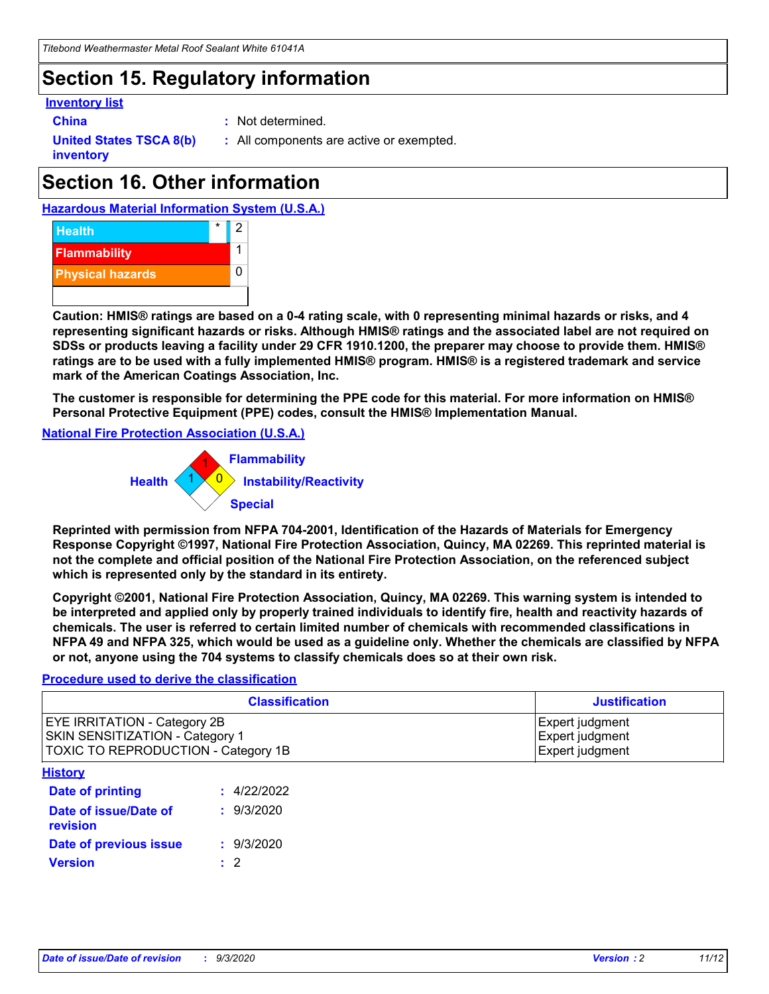# **Section 15. Regulatory information**

### **Inventory list**

- 
- **China :** Not determined.

**United States TSCA 8(b) inventory**

**:** All components are active or exempted.

# **Section 16. Other information**

**Hazardous Material Information System (U.S.A.)**



**Caution: HMIS® ratings are based on a 0-4 rating scale, with 0 representing minimal hazards or risks, and 4 representing significant hazards or risks. Although HMIS® ratings and the associated label are not required on SDSs or products leaving a facility under 29 CFR 1910.1200, the preparer may choose to provide them. HMIS® ratings are to be used with a fully implemented HMIS® program. HMIS® is a registered trademark and service mark of the American Coatings Association, Inc.**

**The customer is responsible for determining the PPE code for this material. For more information on HMIS® Personal Protective Equipment (PPE) codes, consult the HMIS® Implementation Manual.**

**National Fire Protection Association (U.S.A.)**



**Reprinted with permission from NFPA 704-2001, Identification of the Hazards of Materials for Emergency Response Copyright ©1997, National Fire Protection Association, Quincy, MA 02269. This reprinted material is not the complete and official position of the National Fire Protection Association, on the referenced subject which is represented only by the standard in its entirety.**

**Copyright ©2001, National Fire Protection Association, Quincy, MA 02269. This warning system is intended to be interpreted and applied only by properly trained individuals to identify fire, health and reactivity hazards of chemicals. The user is referred to certain limited number of chemicals with recommended classifications in NFPA 49 and NFPA 325, which would be used as a guideline only. Whether the chemicals are classified by NFPA or not, anyone using the 704 systems to classify chemicals does so at their own risk.**

### **Procedure used to derive the classification**

| <b>Classification</b>                                                                                         | <b>Justification</b>                                  |
|---------------------------------------------------------------------------------------------------------------|-------------------------------------------------------|
| <b>EYE IRRITATION - Category 2B</b><br>SKIN SENSITIZATION - Category 1<br>TOXIC TO REPRODUCTION - Category 1B | Expert judgment<br>Expert judgment<br>Expert judgment |
| <b>History</b>                                                                                                |                                                       |

| <b>Date of printing</b>           | : 4/22/2022 |
|-----------------------------------|-------------|
| Date of issue/Date of<br>revision | : 9/3/2020  |
| Date of previous issue            | : 9/3/2020  |
| <b>Version</b>                    | $\cdot$ 2   |
|                                   |             |